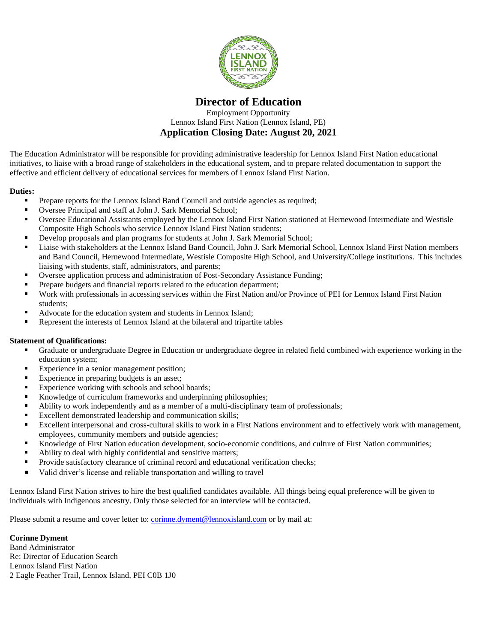

## **Director of Education**

Employment Opportunity Lennox Island First Nation (Lennox Island, PE) **Application Closing Date: August 20, 2021**

The Education Administrator will be responsible for providing administrative leadership for Lennox Island First Nation educational initiatives, to liaise with a broad range of stakeholders in the educational system, and to prepare related documentation to support the effective and efficient delivery of educational services for members of Lennox Island First Nation.

## **Duties:**

- Prepare reports for the Lennox Island Band Council and outside agencies as required;  $\blacksquare$
- $\blacksquare$ Oversee Principal and staff at John J. Sark Memorial School;
- Oversee Educational Assistants employed by the Lennox Island First Nation stationed at Hernewood Intermediate and Westisle Composite High Schools who service Lennox Island First Nation students;
- Develop proposals and plan programs for students at John J. Sark Memorial School;
- Liaise with stakeholders at the Lennox Island Band Council, John J. Sark Memorial School, Lennox Island First Nation members and Band Council, Hernewood Intermediate, Westisle Composite High School, and University/College institutions. This includes liaising with students, staff, administrators, and parents;
- Oversee application process and administration of Post-Secondary Assistance Funding;
- Prepare budgets and financial reports related to the education department;
- Work with professionals in accessing services within the First Nation and/or Province of PEI for Lennox Island First Nation students;
- $\blacksquare$ Advocate for the education system and students in Lennox Island;
- Represent the interests of Lennox Island at the bilateral and tripartite tables

## **Statement of Qualifications:**

- Graduate or undergraduate Degree in Education or undergraduate degree in related field combined with experience working in the education system;
- $\blacksquare$ Experience in a senior management position;
- Experience in preparing budgets is an asset;
- Experience working with schools and school boards;
- $\blacksquare$ Knowledge of curriculum frameworks and underpinning philosophies;
- Ability to work independently and as a member of a multi-disciplinary team of professionals; ä.
- Excellent demonstrated leadership and communication skills;
- Excellent interpersonal and cross-cultural skills to work in a First Nations environment and to effectively work with management, employees, community members and outside agencies;
- Knowledge of First Nation education development, socio-economic conditions, and culture of First Nation communities;
- Ability to deal with highly confidential and sensitive matters;
- ×. Provide satisfactory clearance of criminal record and educational verification checks;
- Valid driver's license and reliable transportation and willing to travel

Lennox Island First Nation strives to hire the best qualified candidates available. All things being equal preference will be given to individuals with Indigenous ancestry. Only those selected for an interview will be contacted.

Please submit a resume and cover letter to: [corinne.dyment@lennoxisland.com](mailto:corinne.dyment@lennoxisland.com) or by mail at:

## **Corinne Dyment**

Band Administrator Re: Director of Education Search Lennox Island First Nation 2 Eagle Feather Trail, Lennox Island, PEI C0B 1J0